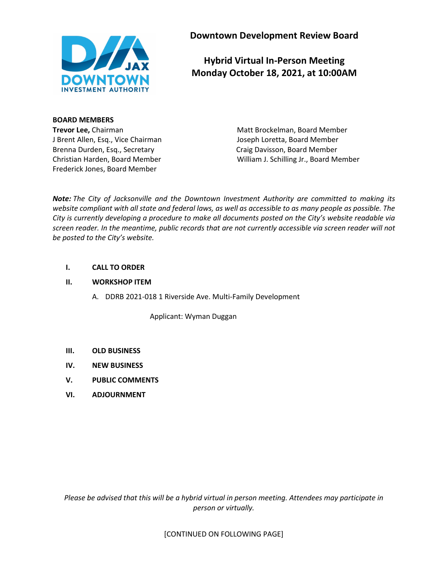

**Downtown Development Review Board**

# **Hybrid Virtual In-Person Meeting Monday October 18, 2021, at 10:00AM**

## **BOARD MEMBERS**

J Brent Allen, Esq., Vice Chairman Joseph Loretta, Board Member Brenna Durden, Esq., Secretary Craig Davisson, Board Member Frederick Jones, Board Member

**Trevor Lee,** Chairman Matt Brockelman, Board Member Christian Harden, Board Member William J. Schilling Jr., Board Member

*Note: The City of Jacksonville and the Downtown Investment Authority are committed to making its website compliant with all state and federal laws, as well as accessible to as many people as possible. The City is currently developing a procedure to make all documents posted on the City's website readable via screen reader. In the meantime, public records that are not currently accessible via screen reader will not be posted to the City's website.* 

## **I. CALL TO ORDER**

## **II. WORKSHOP ITEM**

A. DDRB 2021-018 1 Riverside Ave. Multi-Family Development

Applicant: Wyman Duggan

- **III. OLD BUSINESS**
- **IV. NEW BUSINESS**
- **V. PUBLIC COMMENTS**
- **VI. ADJOURNMENT**

*Please be advised that this will be a hybrid virtual in person meeting. Attendees may participate in person or virtually.*

[CONTINUED ON FOLLOWING PAGE]